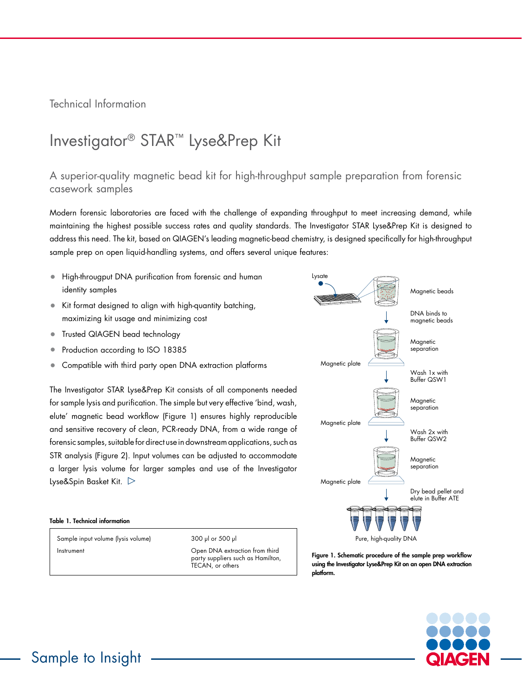Technical Information

## Investigator® STAR™ Lyse&Prep Kit

## A superior-quality magnetic bead kit for high-throughput sample preparation from forensic casework samples

Modern forensic laboratories are faced with the challenge of expanding throughput to meet increasing demand, while maintaining the highest possible success rates and quality standards. The Investigator STAR Lyse&Prep Kit is designed to address this need. The kit, based on QIAGEN's leading magnetic-bead chemistry, is designed specifically for high-throughput sample prep on open liquid-handling systems, and offers several unique features:

- High-througput DNA purification from forensic and human identity samples
- Kit format designed to align with high-quantity batching, maximizing kit usage and minimizing cost
- Trusted QIAGEN bead technology
- Production according to ISO 18385
- Compatible with third party open DNA extraction platforms

The Investigator STAR Lyse&Prep Kit consists of all components needed for sample lysis and purification. The simple but very effective 'bind, wash, elute' magnetic bead workflow (Figure 1) ensures highly reproducible and sensitive recovery of clean, PCR-ready DNA, from a wide range of forensic samples, suitable for direct use in downstream applications, such as STR analysis (Figure 2). Input volumes can be adjusted to accommodate a larger lysis volume for larger samples and use of the Investigator Lyse&Spin Basket Kit.  $\triangleright$ 



## Table 1. Technical information

Sample input volume (lysis volume) 300 µl or 500 µl Instrument Open DNA extraction from third

party suppliers such as Hamilton, TECAN, or others

Figure 1. Schematic procedure of the sample prep workflow using the Investigator Lyse&Prep Kit on an open DNA extraction platform.